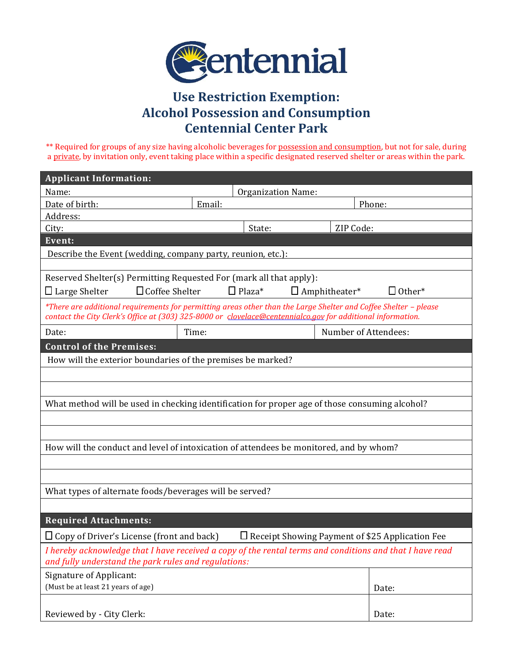

## **Use Restriction Exemption: Alcohol Possession and Consumption Centennial Center Park**

\*\* Required for groups of any size having alcoholic beverages for possession and consumption, but not for sale, during a private, by invitation only, event taking place within a specific designated reserved shelter or areas within the park.

| <b>Applicant Information:</b>                                                                                                                                                                                                   |                           |        |                      |        |
|---------------------------------------------------------------------------------------------------------------------------------------------------------------------------------------------------------------------------------|---------------------------|--------|----------------------|--------|
| Name:                                                                                                                                                                                                                           | <b>Organization Name:</b> |        |                      |        |
| Date of birth:                                                                                                                                                                                                                  | Email:                    |        |                      | Phone: |
| Address:                                                                                                                                                                                                                        |                           |        |                      |        |
| City:                                                                                                                                                                                                                           |                           | State: | ZIP Code:            |        |
| Event:                                                                                                                                                                                                                          |                           |        |                      |        |
| Describe the Event (wedding, company party, reunion, etc.):                                                                                                                                                                     |                           |        |                      |        |
| Reserved Shelter(s) Permitting Requested For (mark all that apply):                                                                                                                                                             |                           |        |                      |        |
| $\Box$ Plaza*<br>$\Box$ Other*<br>$\Box$ Large Shelter<br>$\Box$ Coffee Shelter<br>$\Box$ Amphitheater*                                                                                                                         |                           |        |                      |        |
| *There are additional requirements for permitting areas other than the Large Shelter and Coffee Shelter - please<br>contact the City Clerk's Office at (303) 325-8000 or clovelace@centennialco.gov for additional information. |                           |        |                      |        |
| Date:                                                                                                                                                                                                                           | Time:                     |        | Number of Attendees: |        |
| <b>Control of the Premises:</b>                                                                                                                                                                                                 |                           |        |                      |        |
| How will the exterior boundaries of the premises be marked?                                                                                                                                                                     |                           |        |                      |        |
|                                                                                                                                                                                                                                 |                           |        |                      |        |
|                                                                                                                                                                                                                                 |                           |        |                      |        |
| What method will be used in checking identification for proper age of those consuming alcohol?                                                                                                                                  |                           |        |                      |        |
|                                                                                                                                                                                                                                 |                           |        |                      |        |
|                                                                                                                                                                                                                                 |                           |        |                      |        |
| How will the conduct and level of intoxication of attendees be monitored, and by whom?                                                                                                                                          |                           |        |                      |        |
|                                                                                                                                                                                                                                 |                           |        |                      |        |
|                                                                                                                                                                                                                                 |                           |        |                      |        |
| What types of alternate foods/beverages will be served?                                                                                                                                                                         |                           |        |                      |        |
|                                                                                                                                                                                                                                 |                           |        |                      |        |
| <b>Required Attachments:</b>                                                                                                                                                                                                    |                           |        |                      |        |
| $\Box$ Copy of Driver's License (front and back)<br>$\Box$ Receipt Showing Payment of \$25 Application Fee                                                                                                                      |                           |        |                      |        |
| I hereby acknowledge that I have received a copy of the rental terms and conditions and that I have read<br>and fully understand the park rules and regulations:                                                                |                           |        |                      |        |
| <b>Signature of Applicant:</b>                                                                                                                                                                                                  |                           |        |                      |        |
| (Must be at least 21 years of age)                                                                                                                                                                                              |                           |        |                      | Date:  |
|                                                                                                                                                                                                                                 |                           |        |                      |        |
| Reviewed by - City Clerk:                                                                                                                                                                                                       |                           |        |                      | Date:  |